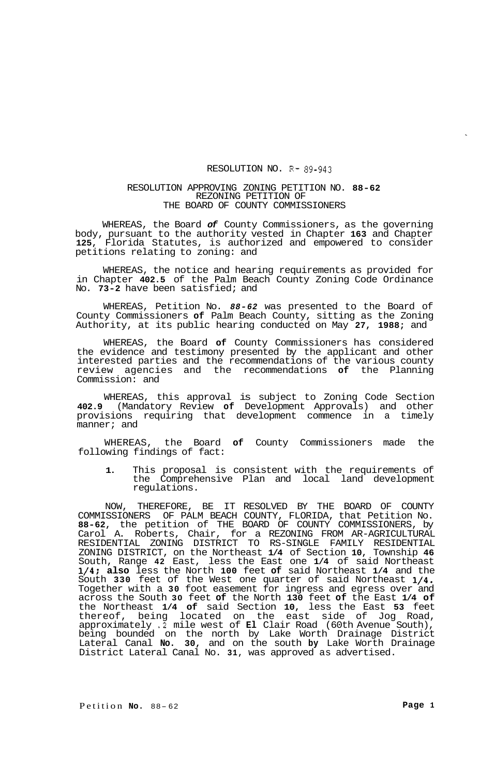## RESOLUTION NO. R- **89-943**

## RESOLUTION APPROVING ZONING PETITION NO. **88-62**  REZONING PETITION OF THE BOARD OF COUNTY COMMISSIONERS

WHEREAS, the Board *of* County Commissioners, as the governing body, pursuant to the authority vested in Chapter **163** and Chapter **125,** Florida Statutes, is authorized and empowered to consider petitions relating to zoning: and

WHEREAS, the notice and hearing requirements as provided for in Chapter **402.5** of the Palm Beach County Zoning Code Ordinance No. **73-2** have been satisfied; and

WHEREAS, Petition No. *88-62* was presented to the Board of County Commissioners **of** Palm Beach County, sitting as the Zoning Authority, at its public hearing conducted on May **27, 1988;** and

WHEREAS, the Board **of** County Commissioners has considered the evidence and testimony presented by the applicant and other interested parties and the recommendations of the various county review agencies and the recommendations **of** the Planning Commission: and

WHEREAS, this approval is subject to Zoning Code Section **402.9** (Mandatory Review **of** Development Approvals) and other provisions requiring that development commence in a timely manner; and

WHEREAS, the Board **of** County Commissioners made the following findings of fact:

**1.** This proposal is consistent with the requirements of the Comprehensive Plan and local land development regulations.

NOW, THEREFORE, BE IT RESOLVED BY THE BOARD OF COUNTY COMMISSIONERS OF PALM BEACH COUNTY, FLORIDA, that Petition No. **88-62,** the petition of THE BOARD OF COUNTY COMMISSIONERS, by Carol A. Roberts, Chair, for a REZONING FROM AR-AGRICULTURAL RESIDENTIAL ZONING DISTRICT TO RS-SINGLE FAMILY RESIDENTIAL ZONING DISTRICT, on the Northeast **1/4** of Section **10,** Township **46**  South, Range **42** East, less the East one **1/4** of said Northeast **1/4; also** less the North **100** feet **of** said Northeast **1/4** and the South **330** feet of the West one quarter of said Northeast **1/4.**  Together with a **30** foot easement for ingress and egress over and across the South **30** feet **of** the North **130** feet **of** the East **1/4 of**  the Northeast **1/4 of** said Section **10,** less the East **53** feet thereof, being located on the east side of Jog Road, approximately **.2** mile west of **El** Clair Road (60th Avenue South), being bounded on the north by Lake Worth Drainage District Lateral Canal **No. 30,** and on the south **by** Lake Worth Drainage District Lateral Canal No. **31,** was approved as advertised.